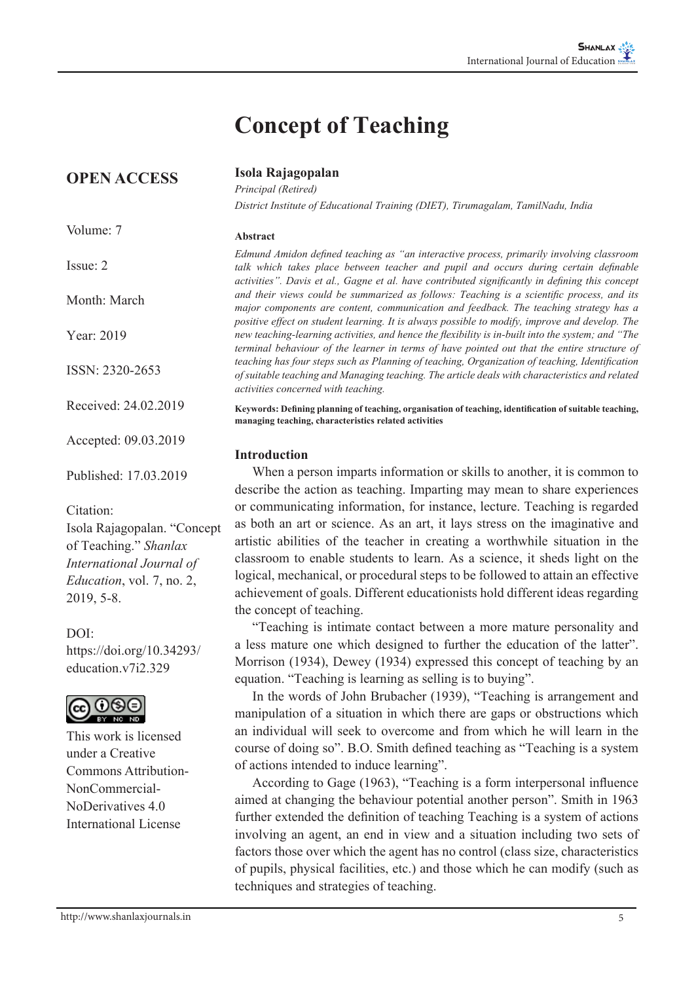# **Concept of Teaching**

**OPEN ACCESS**

Volume: 7

Issue: 2

Month: March

Year: 2019

ISSN: 2320-2653

Received: 24.02.2019

Accepted: 09.03.2019

Published: 17.03.2019

Citation:

Isola Rajagopalan. "Concept of Teaching." *Shanlax International Journal of Education*, vol. 7, no. 2, 2019, 5-8.

## $DOI<sup>+</sup>$

https://doi.org/10.34293/ education v7i2.329



This work is licensed under a Creative Commons Attribution-NonCommercial-NoDerivatives 4.0 International License

http://www.shanlaxjournals.in 5

**Isola Rajagopalan**

*Principal (Retired) District Institute of Educational Training (DIET), Tirumagalam, TamilNadu, India*

#### **Abstract**

*Edmund Amidon defined teaching as "an interactive process, primarily involving classroom*  talk which takes place between teacher and pupil and occurs during certain definable *activities". Davis et al., Gagne et al. have contributed significantly in defining this concept and their views could be summarized as follows: Teaching is a scientific process, and its major components are content, communication and feedback. The teaching strategy has a positive effect on student learning. It is always possible to modify, improve and develop. The new teaching-learning activities, and hence the flexibility is in-built into the system; and "The terminal behaviour of the learner in terms of have pointed out that the entire structure of teaching has four steps such as Planning of teaching, Organization of teaching, Identification of suitable teaching and Managing teaching. The article deals with characteristics and related activities concerned with teaching.* 

**Keywords: Defining planning of teaching, organisation of teaching, identification of suitable teaching, managing teaching, characteristics related activities**

### **Introduction**

When a person imparts information or skills to another, it is common to describe the action as teaching. Imparting may mean to share experiences or communicating information, for instance, lecture. Teaching is regarded as both an art or science. As an art, it lays stress on the imaginative and artistic abilities of the teacher in creating a worthwhile situation in the classroom to enable students to learn. As a science, it sheds light on the logical, mechanical, or procedural steps to be followed to attain an effective achievement of goals. Different educationists hold different ideas regarding the concept of teaching.

"Teaching is intimate contact between a more mature personality and a less mature one which designed to further the education of the latter". Morrison (1934), Dewey (1934) expressed this concept of teaching by an equation. "Teaching is learning as selling is to buying".

In the words of John Brubacher (1939), "Teaching is arrangement and manipulation of a situation in which there are gaps or obstructions which an individual will seek to overcome and from which he will learn in the course of doing so". B.O. Smith defined teaching as "Teaching is a system of actions intended to induce learning".

According to Gage (1963), "Teaching is a form interpersonal influence aimed at changing the behaviour potential another person". Smith in 1963 further extended the definition of teaching Teaching is a system of actions involving an agent, an end in view and a situation including two sets of factors those over which the agent has no control (class size, characteristics of pupils, physical facilities, etc.) and those which he can modify (such as techniques and strategies of teaching.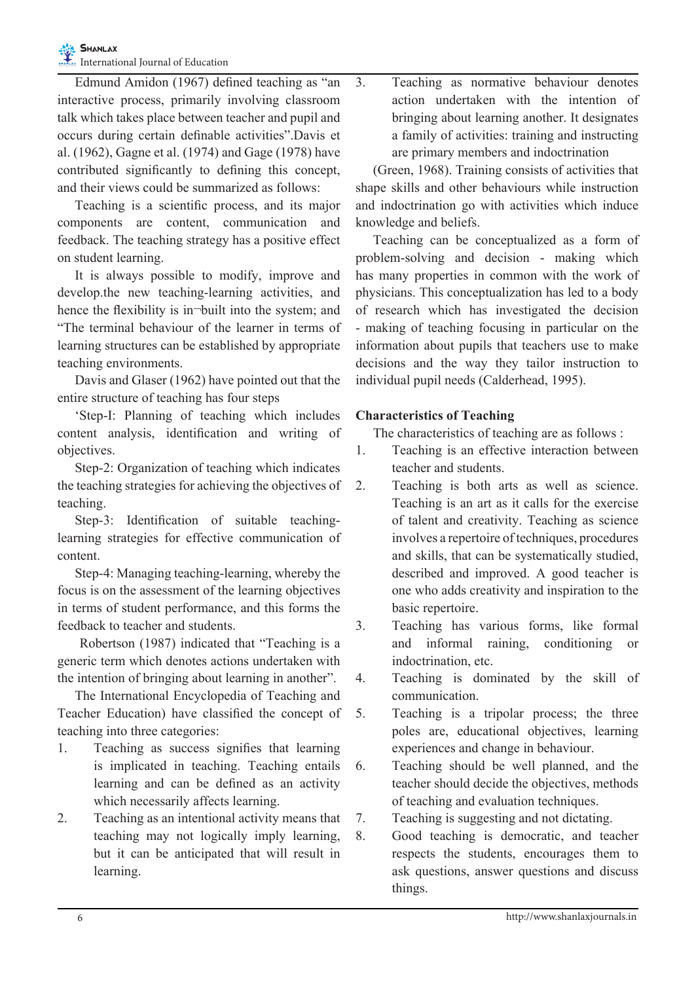Edmund Amidon (1967) defined teaching as "an interactive process, primarily involving classroom talk which takes place between teacher and pupil and occurs during certain definable activities".Davis et al. (1962), Gagne et al. (1974) and Gage (1978) have contributed significantly to defining this concept, and their views could be summarized as follows:

Teaching is a scientific process, and its major components are content, communication and feedback. The teaching strategy has a positive effect on student learning.

It is always possible to modify, improve and develop.the new teaching-learning activities, and hence the flexibility is in-built into the system; and "The terminal behaviour of the learner in terms of learning structures can be established by appropriate teaching environments.

Davis and Glaser (1962) have pointed out that the entire structure of teaching has four steps

'Step-I: Planning of teaching which includes content analysis, identification and writing of objectives.

Step-2: Organization of teaching which indicates the teaching strategies for achieving the objectives of teaching.

Step-3: Identification of suitable teachinglearning strategies for effective communication of content.

Step-4: Managing teaching-learning, whereby the focus is on the assessment of the learning objectives in terms of student performance, and this forms the feedback to teacher and students.

 Robertson (1987) indicated that "Teaching is a generic term which denotes actions undertaken with the intention of bringing about learning in another".

The International Encyclopedia of Teaching and Teacher Education) have classified the concept of teaching into three categories:

- 1. Teaching as success signifies that learning is implicated in teaching. Teaching entails learning and can be defined as an activity which necessarily affects learning.
- 2. Teaching as an intentional activity means that teaching may not logically imply learning, but it can be anticipated that will result in learning.

3. Teaching as normative behaviour denotes action undertaken with the intention of bringing about learning another. It designates a family of activities: training and instructing are primary members and indoctrination

(Green, 1968). Training consists of activities that shape skills and other behaviours while instruction and indoctrination go with activities which induce knowledge and beliefs.

Teaching can be conceptualized as a form of problem-solving and decision - making which has many properties in common with the work of physicians. This conceptualization has led to a body of research which has investigated the decision - making of teaching focusing in particular on the information about pupils that teachers use to make decisions and the way they tailor instruction to individual pupil needs (Calderhead, 1995).

# **Characteristics of Teaching**

The characteristics of teaching are as follows :

- 1. Teaching is an effective interaction between teacher and students.
- 2. Teaching is both arts as well as science. Teaching is an art as it calls for the exercise of talent and creativity. Teaching as science involves a repertoire of techniques, procedures and skills, that can be systematically studied, described and improved. A good teacher is one who adds creativity and inspiration to the basic repertoire.
- 3. Teaching has various forms, like formal and informal raining, conditioning or indoctrination, etc.
- 4. Teaching is dominated by the skill of communication.
- 5. Teaching is a tripolar process; the three poles are, educational objectives, learning experiences and change in behaviour.
- 6. Teaching should be well planned, and the teacher should decide the objectives, methods of teaching and evaluation techniques.
- 7. Teaching is suggesting and not dictating.
- 8. Good teaching is democratic, and teacher respects the students, encourages them to ask questions, answer questions and discuss things.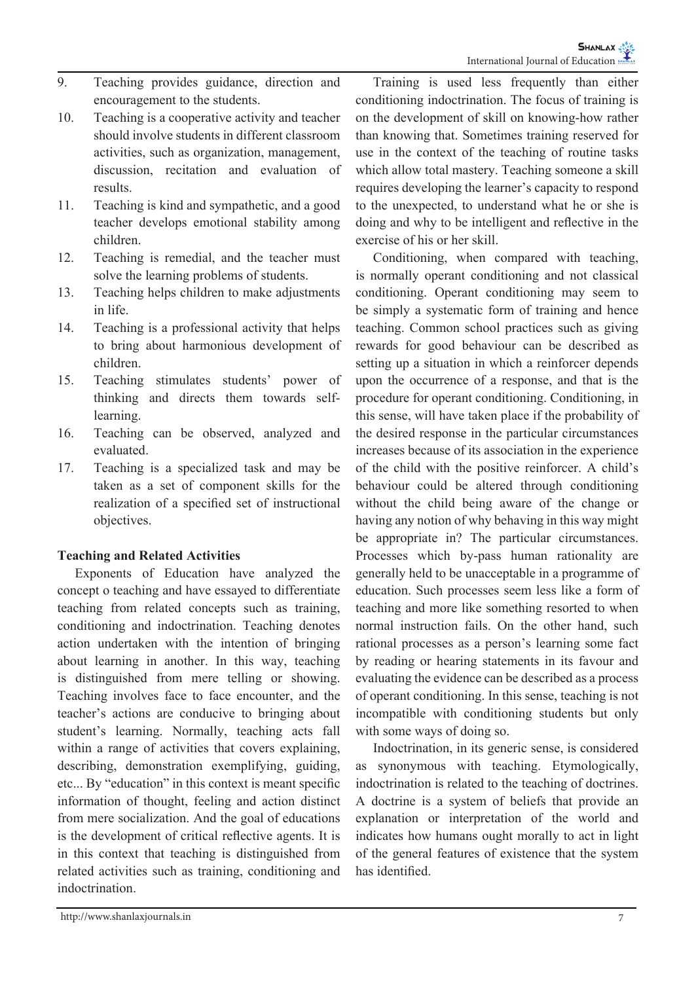- 9. Teaching provides guidance, direction and encouragement to the students.
- 10. Teaching is a cooperative activity and teacher should involve students in different classroom activities, such as organization, management, discussion, recitation and evaluation of results.
- 11. Teaching is kind and sympathetic, and a good teacher develops emotional stability among children.
- 12. Teaching is remedial, and the teacher must solve the learning problems of students.
- 13. Teaching helps children to make adjustments in life.
- 14. Teaching is a professional activity that helps to bring about harmonious development of children.
- 15. Teaching stimulates students' power of thinking and directs them towards selflearning.
- 16. Teaching can be observed, analyzed and evaluated.
- 17. Teaching is a specialized task and may be taken as a set of component skills for the realization of a specified set of instructional objectives.

# **Teaching and Related Activities**

Exponents of Education have analyzed the concept o teaching and have essayed to differentiate teaching from related concepts such as training, conditioning and indoctrination. Teaching denotes action undertaken with the intention of bringing about learning in another. In this way, teaching is distinguished from mere telling or showing. Teaching involves face to face encounter, and the teacher's actions are conducive to bringing about student's learning. Normally, teaching acts fall within a range of activities that covers explaining, describing, demonstration exemplifying, guiding, etc... By "education" in this context is meant specific information of thought, feeling and action distinct from mere socialization. And the goal of educations is the development of critical reflective agents. It is in this context that teaching is distinguished from related activities such as training, conditioning and indoctrination.

Training is used less frequently than either conditioning indoctrination. The focus of training is on the development of skill on knowing-how rather than knowing that. Sometimes training reserved for use in the context of the teaching of routine tasks which allow total mastery. Teaching someone a skill requires developing the learner's capacity to respond to the unexpected, to understand what he or she is doing and why to be intelligent and reflective in the exercise of his or her skill.

Conditioning, when compared with teaching, is normally operant conditioning and not classical conditioning. Operant conditioning may seem to be simply a systematic form of training and hence teaching. Common school practices such as giving rewards for good behaviour can be described as setting up a situation in which a reinforcer depends upon the occurrence of a response, and that is the procedure for operant conditioning. Conditioning, in this sense, will have taken place if the probability of the desired response in the particular circumstances increases because of its association in the experience of the child with the positive reinforcer. A child's behaviour could be altered through conditioning without the child being aware of the change or having any notion of why behaving in this way might be appropriate in? The particular circumstances. Processes which by-pass human rationality are generally held to be unacceptable in a programme of education. Such processes seem less like a form of teaching and more like something resorted to when normal instruction fails. On the other hand, such rational processes as a person's learning some fact by reading or hearing statements in its favour and evaluating the evidence can be described as a process of operant conditioning. In this sense, teaching is not incompatible with conditioning students but only with some ways of doing so.

Indoctrination, in its generic sense, is considered as synonymous with teaching. Etymologically, indoctrination is related to the teaching of doctrines. A doctrine is a system of beliefs that provide an explanation or interpretation of the world and indicates how humans ought morally to act in light of the general features of existence that the system has identified.